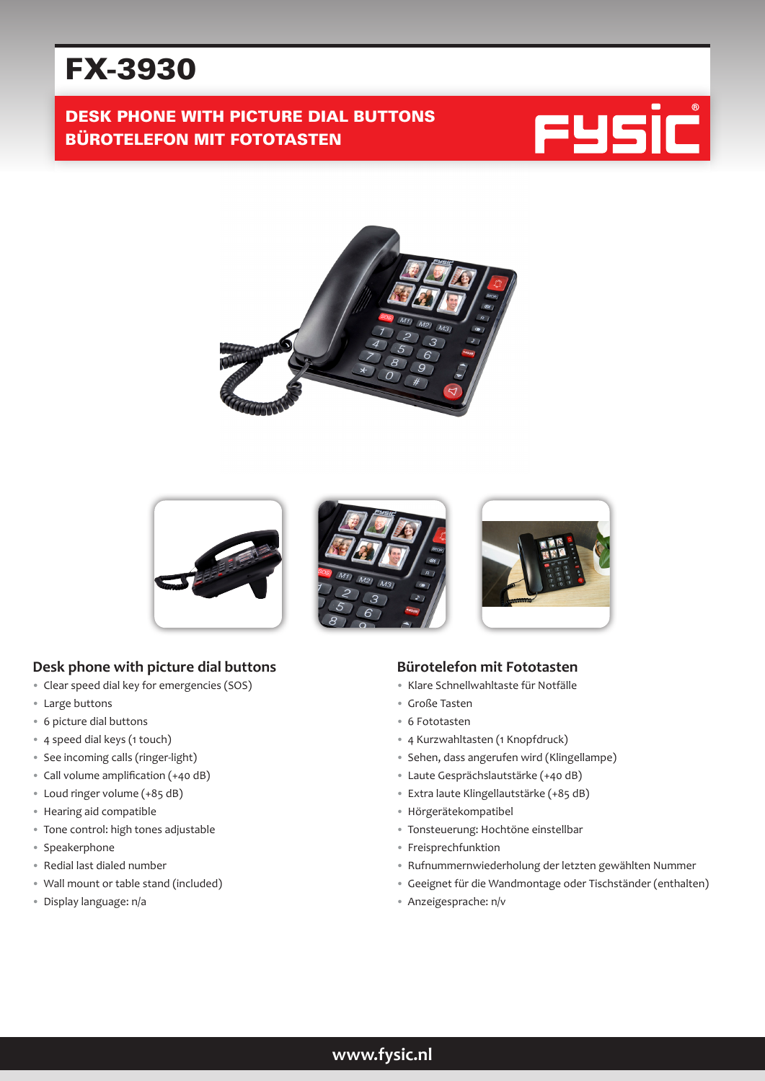# FX-3930

# DESK PHONE WITH PICTURE DIAL BUTTONS BÜROTELEFON MIT FOTOTASTEN







## **Desk phone with picture dial buttons**

- Clear speed dial key for emergencies (SOS)
- Large buttons
- 6 picture dial buttons
- 4 speed dial keys (1 touch)
- See incoming calls (ringer-light)
- Call volume amplification (+40 dB)
- Loud ringer volume (+85 dB)
- Hearing aid compatible
- Tone control: high tones adjustable
- Speakerphone
- Redial last dialed number
- Wall mount or table stand (included)
- Display language: n/a

#### **Bürotelefon mit Fototasten**

- Klare Schnellwahltaste für Notfälle
- Große Tasten
- 6 Fototasten
- 4 Kurzwahltasten (1 Knopfdruck)
- Sehen, dass angerufen wird (Klingellampe)
- Laute Gesprächslautstärke (+40 dB)
- Extra laute Klingellautstärke (+85 dB)
- Hörgerätekompatibel
- Tonsteuerung: Hochtöne einstellbar
- Freisprechfunktion
- Rufnummernwiederholung der letzten gewählten Nummer
- Geeignet für die Wandmontage oder Tischständer (enthalten)
- Anzeigesprache: n/v

# **www.fysic.nl**